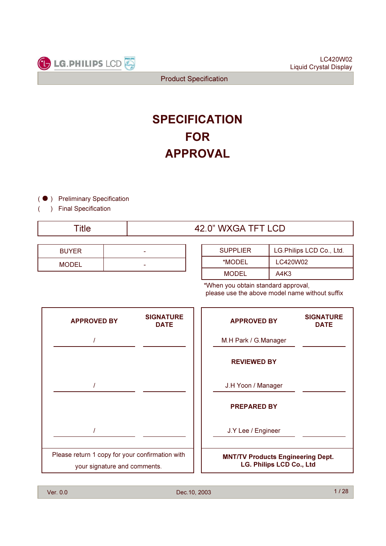

# **FOR** APPROVAL **SPECIFICATION**

(  $\bullet$  ) Preliminary Specification

) Final Specification

(

| <b>BUYER</b> | - |
|--------------|---|
| <b>MODEL</b> | - |

| Title | 42.0" WXGA TFT LCD |
|-------|--------------------|
|       |                    |

| <b>SUPPLIER</b> | LG.Philips LCD Co., Ltd. |
|-----------------|--------------------------|
| *MODEL          | LC420W02                 |
| <b>MODEL</b>    | A4K3                     |

\*When you obtain standard approval, please use the above model name without suffix

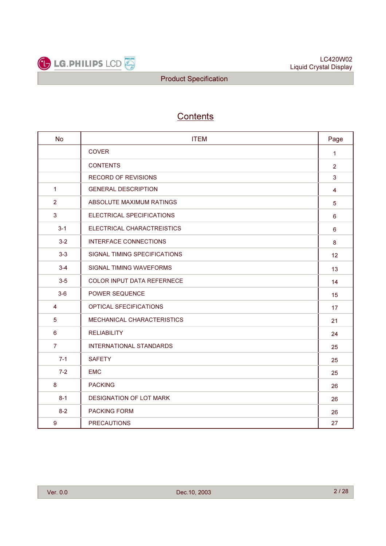

## **Contents**

| <b>No</b>      | <b>ITEM</b>                       | Page           |
|----------------|-----------------------------------|----------------|
|                | <b>COVER</b>                      | $\mathbf{1}$   |
|                | <b>CONTENTS</b>                   | $\overline{2}$ |
|                | <b>RECORD OF REVISIONS</b>        | 3              |
| $\mathbf{1}$   | <b>GENERAL DESCRIPTION</b>        | 4              |
| $\overline{2}$ | ABSOLUTE MAXIMUM RATINGS          | 5              |
| $\mathbf{3}$   | ELECTRICAL SPECIFICATIONS         | 6              |
| $3 - 1$        | ELECTRICAL CHARACTREISTICS        | $6\phantom{a}$ |
| $3 - 2$        | <b>INTERFACE CONNECTIONS</b>      | 8              |
| $3-3$          | SIGNAL TIMING SPECIFICATIONS      | 12             |
| $3 - 4$        | <b>SIGNAL TIMING WAVEFORMS</b>    | 13             |
| $3-5$          | <b>COLOR INPUT DATA REFERNECE</b> | 14             |
| $3-6$          | POWER SEQUENCE                    | 15             |
| 4              | OPTICAL SFECIFICATIONS            | 17             |
| 5              | MECHANICAL CHARACTERISTICS        | 21             |
| 6              | <b>RELIABILITY</b>                | 24             |
| $\overline{7}$ | <b>INTERNATIONAL STANDARDS</b>    | 25             |
| $7 - 1$        | <b>SAFETY</b>                     | 25             |
| $7 - 2$        | <b>EMC</b>                        | 25             |
| 8              | <b>PACKING</b>                    | 26             |
| $8 - 1$        | <b>DESIGNATION OF LOT MARK</b>    | 26             |
| $8 - 2$        | <b>PACKING FORM</b>               | 26             |
| 9              | <b>PRECAUTIONS</b>                | 27             |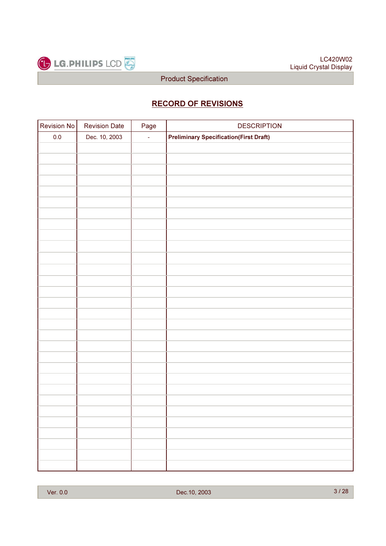

## RECORD OF REVISIONS

| Revision No | <b>Revision Date</b> | Page   | <b>DESCRIPTION</b>                            |
|-------------|----------------------|--------|-----------------------------------------------|
| $0.0\,$     | Dec. 10, 2003        | $\Box$ | <b>Preliminary Specification(First Draft)</b> |
|             |                      |        |                                               |
|             |                      |        |                                               |
|             |                      |        |                                               |
|             |                      |        |                                               |
|             |                      |        |                                               |
|             |                      |        |                                               |
|             |                      |        |                                               |
|             |                      |        |                                               |
|             |                      |        |                                               |
|             |                      |        |                                               |
|             |                      |        |                                               |
|             |                      |        |                                               |
|             |                      |        |                                               |
|             |                      |        |                                               |
|             |                      |        |                                               |
|             |                      |        |                                               |
|             |                      |        |                                               |
|             |                      |        |                                               |
|             |                      |        |                                               |
|             |                      |        |                                               |
|             |                      |        |                                               |
|             |                      |        |                                               |
|             |                      |        |                                               |
|             |                      |        |                                               |
|             |                      |        |                                               |
|             |                      |        |                                               |
|             |                      |        |                                               |
|             |                      |        |                                               |
|             |                      |        |                                               |
|             |                      |        |                                               |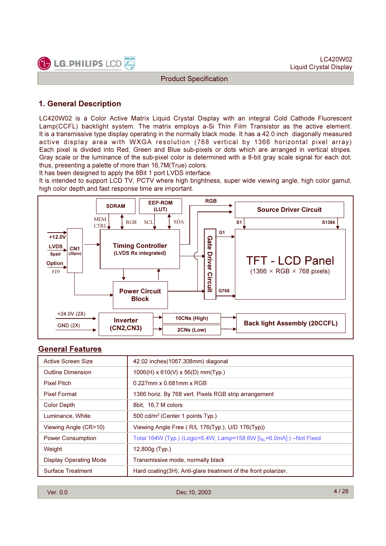

## 1. General Description

LC420W02 is a Color Active Matrix Liquid Crystal Display with an integral Cold Cathode Fluorescent Lamp(CCFL) backlight system. The matrix employs a-Si Thin Film Transistor as the active element. It is a transmissive type display operating in the normally black mode. It has a 42.0 inch diagonally measured active display area with WXGA resolution (768 vertical by 1366 horizontal pixel array) Each pixel is divided into Red, Green and Blue sub-pixels or dots which are arranged in vertical stripes. Gray scale or the luminance of the sub-pixel color is determined with a 8-bit gray scale signal for each dot, thus, presenting a palette of more than 16,7M(True) colors.

It has been designed to apply the 8Bit 1 port LVDS interface.

It is intended to support LCD TV, PCTV where high brightness, super wide viewing angle, high color gamut, high color depth,and fast response time are important.



## General Features

| Active Screen Size            | 42.02 inches(1067.308mm) diagonal                                               |
|-------------------------------|---------------------------------------------------------------------------------|
| <b>Outline Dimension</b>      | $1006$ (H) x 610(V) x 56(D) mm(Typ.)                                            |
| <b>Pixel Pitch</b>            | 0.227mm x 0.681mm x RGB                                                         |
| <b>Pixel Format</b>           | 1366 horiz. By 768 vert. Pixels RGB strip arrangement                           |
| Color Depth                   | 8bit, 16,7 M colors                                                             |
| Luminance, White              | 500 cd/ $m^2$ (Center 1 points $Tvp$ .)                                         |
| Viewing Angle (CR>10)         | Viewing Angle Free (R/L 176(Typ.), U/D 176(Typ))                                |
| <b>Power Consumption</b>      | Total 164W (Typ.) (Logic=5.4W, Lamp=158.6W $[I_{\text{RI}}$ =6.0mA]) –Not Fixed |
| Weight                        | $12,800g$ (Typ.)                                                                |
| <b>Display Operating Mode</b> | Transmissive mode, normally black                                               |
| <b>Surface Treatment</b>      | Hard coating (3H), Anti-glare treatment of the front polarizer,                 |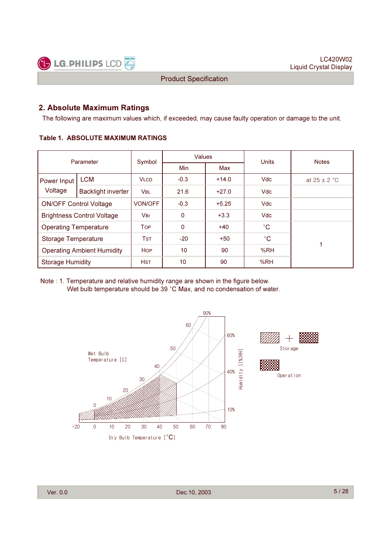

#### 2. Absolute Maximum Ratings

The following are maximum values which, if exceeded, may cause faulty operation or damage to the unit.

#### Table 1. ABSOLUTE MAXIMUM RATINGS

| Parameter                         |                                   | Symbol         | Values |         | Units       | <b>Notes</b>     |
|-----------------------------------|-----------------------------------|----------------|--------|---------|-------------|------------------|
|                                   |                                   |                | Min    | Max     |             |                  |
| Power Input                       | <b>LCM</b>                        | <b>VLCD</b>    | $-0.3$ | $+14.0$ | <b>Vdc</b>  | at $25 \pm 2$ °C |
| Voltage                           | <b>Backlight inverter</b>         | <b>VBL</b>     | 21.6   | $+27.0$ | <b>Vdc</b>  |                  |
|                                   | <b>ON/OFF Control Voltage</b>     | <b>VON/OFF</b> | $-0.3$ | $+5.25$ | <b>Vdc</b>  |                  |
|                                   | <b>Brightness Control Voltage</b> | <b>VBr</b>     | 0      | $+3.3$  | <b>Vdc</b>  |                  |
| <b>Operating Temperature</b>      |                                   | <b>TOP</b>     | 0      | $+40$   | $^{\circ}C$ |                  |
| <b>Storage Temperature</b>        |                                   | <b>TST</b>     | $-20$  | $+50$   | $^{\circ}C$ |                  |
| <b>Operating Ambient Humidity</b> |                                   | <b>HOP</b>     | 10     | 90      | %RH         |                  |
| <b>Storage Humidity</b>           |                                   | <b>HST</b>     | 10     | 90      | %RH         |                  |

Note : 1. Temperature and relative humidity range are shown in the figure below. Wet bulb temperature should be 39 °C Max, and no condensation of water.

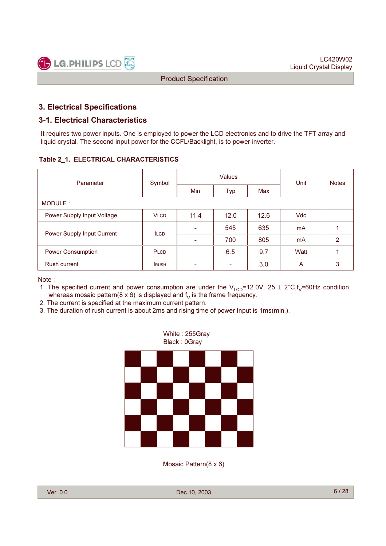

## 3. Electrical Specifications

### 3-1. Electrical Characteristics

It requires two power inputs. One is employed to power the LCD electronics and to drive the TFT array and liquid crystal. The second input power for the CCFL/Backlight, is to power inverter.

#### Table 2\_1. ELECTRICAL CHARACTERISTICS

| Parameter                  | Symbol       |                          | <b>Values</b>            | Unit | <b>Notes</b> |   |
|----------------------------|--------------|--------------------------|--------------------------|------|--------------|---|
|                            |              | <b>Min</b>               | Typ                      | Max  |              |   |
| MODULE:                    |              |                          |                          |      |              |   |
| Power Supply Input Voltage | <b>VLCD</b>  | 11.4                     | 12.0                     | 12.6 | <b>Vdc</b>   |   |
| Power Supply Input Current | <b>ILCD</b>  | $\overline{\phantom{a}}$ | 545                      | 635  | mA           |   |
|                            |              | $\overline{\phantom{0}}$ | 700                      | 805  | mA           | 2 |
| <b>Power Consumption</b>   | PLCD         |                          | 6.5                      | 9.7  | Watt         |   |
| <b>Rush current</b>        | <b>IRUSH</b> | -                        | $\overline{\phantom{0}}$ | 3.0  | A            | 3 |

Note :

- 1. The specified current and power consumption are under the V<sub>LCD</sub>=12.0V, 25 ± 2°C,f<sub>V</sub>=60Hz condition whereas mosaic pattern(8 x 6) is displayed and  $f<sub>V</sub>$  is the frame frequency.
- 2. The current is specified at the maximum current pattern.
- 3. The duration of rush current is about 2ms and rising time of power Input is 1ms(min.).



Mosaic Pattern(8 x 6)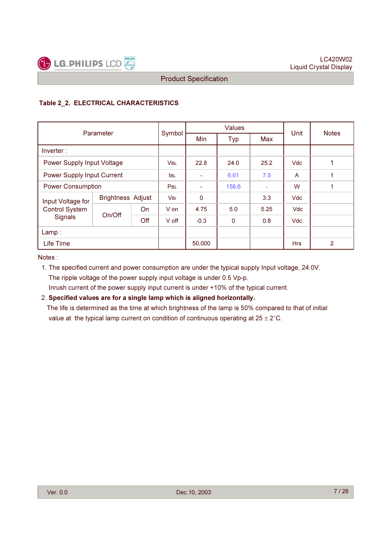

#### Table 2\_2. ELECTRICAL CHARACTERISTICS

| Parameter                  |                          |        | <b>Values</b> |          |             |      | <b>Notes</b>   |                |
|----------------------------|--------------------------|--------|---------------|----------|-------------|------|----------------|----------------|
|                            |                          | Symbol | <b>Min</b>    | Typ      | Max         | Unit |                |                |
| Inverter:                  |                          |        |               |          |             |      |                |                |
| Power Supply Input Voltage |                          |        | <b>VBL</b>    | 22.8     | 24.0        | 25.2 | <b>Vdc</b>     | 1              |
| Power Supply Input Current |                          |        | <b>I</b> BL   | ۰        | 6.61        | 7.5  | $\overline{A}$ | 1              |
| <b>Power Consumption</b>   |                          |        | PBL           |          | 158.6       | ٠    | W              | 1              |
| Input Voltage for          | <b>Brightness Adjust</b> |        | <b>VBr</b>    | $\Omega$ |             | 3.3  | <b>Vdc</b>     |                |
| <b>Control System</b>      | On/Off                   | On     | V on          | 4.75     | 5.0         | 5.25 | <b>Vdc</b>     |                |
| Signals                    |                          | Off    | V off         | $-0.3$   | $\mathbf 0$ | 0.8  | <b>Vdc</b>     |                |
| Lamp:                      |                          |        |               |          |             |      |                |                |
| Life Time                  |                          |        |               | 50,000   |             |      | <b>Hrs</b>     | $\overline{2}$ |

Notes :

1. The specified current and power consumption are under the typical supply Input voltage, 24.0V. The ripple voltage of the power supply input voltage is under 0.5 Vp-p. Inrush current of the power supply input current is under +10% of the typical current.

#### 2. Specified values are for a single lamp which is aligned horizontally.

The life is determined as the time at which brightness of the lamp is 50% compared to that of initial value at the typical lamp current on condition of continuous operating at  $25 \pm 2^{\circ}$ C.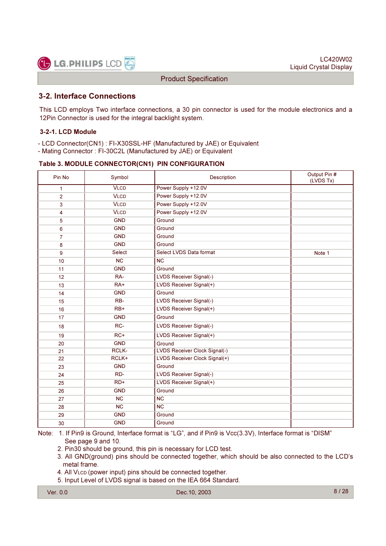

## 3-2. Interface Connections

This LCD employs Two interface connections, a 30 pin connector is used for the module electronics and a 12Pin Connector is used for the integral backlight system.

#### 3-2-1. LCD Module

- LCD Connector(CN1) : FI-X30SSL-HF (Manufactured by JAE) or Equivalent
- Mating Connector : FI-30C2L (Manufactured by JAE) or Equivalent

#### Table 3. MODULE CONNECTOR(CN1) PIN CONFIGURATION

| Pin No         | Symbol        | Description                    | Output Pin #<br>(LVDS Tx) |
|----------------|---------------|--------------------------------|---------------------------|
| 1              | <b>VLCD</b>   | Power Supply +12.0V            |                           |
| $\overline{2}$ | <b>VLCD</b>   | Power Supply +12.0V            |                           |
| 3              | <b>VLCD</b>   | Power Supply +12.0V            |                           |
| $\overline{4}$ | <b>VLCD</b>   | Power Supply +12.0V            |                           |
| 5              | <b>GND</b>    | Ground                         |                           |
| 6              | <b>GND</b>    | Ground                         |                           |
| $\overline{7}$ | <b>GND</b>    | Ground                         |                           |
| 8              | <b>GND</b>    | Ground                         |                           |
| 9              | <b>Select</b> | Select LVDS Data format        | Note 1                    |
| 10             | <b>NC</b>     | <b>NC</b>                      |                           |
| 11             | <b>GND</b>    | Ground                         |                           |
| 12             | RA-           | LVDS Receiver Signal(-)        |                           |
| 13             | $RA+$         | LVDS Receiver Signal(+)        |                           |
| 14             | <b>GND</b>    | Ground                         |                           |
| 15             | RB-           | LVDS Receiver Signal(-)        |                           |
| 16             | $RB+$         | LVDS Receiver Signal(+)        |                           |
| 17             | <b>GND</b>    | Ground                         |                           |
| 18             | RC-           | LVDS Receiver Signal(-)        |                           |
| 19             | $RC+$         | LVDS Receiver Signal(+)        |                           |
| 20             | <b>GND</b>    | Ground                         |                           |
| 21             | <b>RCLK-</b>  | LVDS Receiver Clock Signal(-)  |                           |
| 22             | RCLK+         | LVDS Receiver Clock Signal(+)  |                           |
| 23             | <b>GND</b>    | Ground                         |                           |
| 24             | RD-           | <b>LVDS Receiver Signal(-)</b> |                           |
| 25             | $RD+$         | LVDS Receiver Signal(+)        |                           |
| 26             | <b>GND</b>    | Ground                         |                           |
| 27             | <b>NC</b>     | <b>NC</b>                      |                           |
| 28             | <b>NC</b>     | <b>NC</b>                      |                           |
| 29             | <b>GND</b>    | Ground                         |                           |
| 30             | <b>GND</b>    | Ground                         |                           |

Note: 1. If Pin9 is Ground, Interface format is "LG", and if Pin9 is Vcc(3.3V), Interface format is "DISM" See page 9 and 10.

- 2. Pin30 should be ground, this pin is necessary for LCD test.
- 3. All GND(ground) pins should be connected together, which should be also connected to the LCD's metal frame.
- 4. All VLCD (power input) pins should be connected together.
- 5. Input Level of LVDS signal is based on the IEA 664 Standard.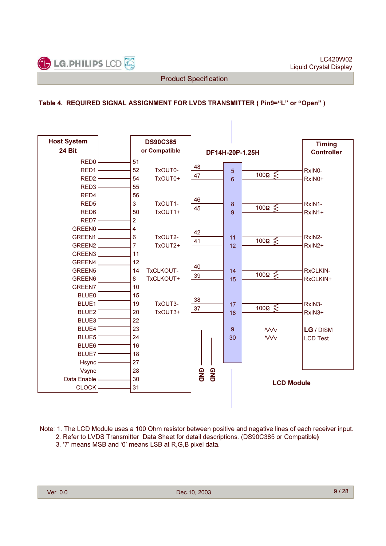

Ē

#### Table 4. REQUIRED SIGNAL ASSIGNMENT FOR LVDS TRANSMITTER ( Pin9="L" or "Open" )

| <b>Host System</b> | <b>DS90C385</b>           |            |                         | <b>Timing</b>     |
|--------------------|---------------------------|------------|-------------------------|-------------------|
| <b>24 Bit</b>      | or Compatible             |            | DF14H-20P-1.25H         | <b>Controller</b> |
| RED <sub>0</sub>   | 51                        |            |                         |                   |
| RED1               | 52<br>TxOUT0-             | 48         | 5                       | RxIN0-            |
| RED <sub>2</sub>   | 54<br>TxOUT0+             | 47<br>6    | 100 $\Omega \leq$       | RxIN0+            |
| RED <sub>3</sub>   | 55                        |            |                         |                   |
| RED4               | 56                        |            |                         |                   |
| RED <sub>5</sub>   | 3<br>TxOUT1-              | 46<br>8    |                         | RxIN1-            |
| RED6               | TxOUT1+<br>50             | 45         | 100 $\Omega \leq$<br>9  | RxIN1+            |
| RED7               | $\overline{2}$            |            |                         |                   |
| <b>GREEN0</b>      | $\overline{4}$            |            |                         |                   |
| GREEN1             | $\,6$<br>TxOUT2-          | 42<br>11   |                         | RxIN2-            |
| GREEN2             | $\overline{7}$<br>TxOUT2+ | 41         | 100 $\Omega \leq$<br>12 | RxIN2+            |
| GREEN3             | 11                        |            |                         |                   |
| GREEN4             | 12                        |            |                         |                   |
| GREEN5             | 14<br>TxCLKOUT-           | 40         | 14                      | RxCLKIN-          |
| GREEN6             | TxCLKOUT+<br>8            | 39         | 100 $\Omega \leq$<br>15 | RxCLKIN+          |
| GREEN7             | 10                        |            |                         |                   |
| <b>BLUE0</b>       | 15                        |            |                         |                   |
| BLUE1              | TxOUT3-<br>19             | 38         | 17                      | RxIN3-            |
| BLUE2              | TxOUT3+<br>20             | 37         | 100 $\Omega \leq$<br>18 | RxIN3+            |
| BLUE3              | 22                        |            |                         |                   |
| BLUE4              | 23                        | 9          | ·wv                     | LG / DISM         |
| BLUE5              | 24                        | 30         | $\mathsf{w}$            | <b>LCD Test</b>   |
| BLUE6              | 16                        |            |                         |                   |
| <b>BLUE7</b>       | 18                        |            |                         |                   |
| Hsync              | 27                        |            |                         |                   |
| Vsync              | 28                        |            |                         |                   |
| Data Enable        | 30                        | GND<br>GND | <b>LCD Module</b>       |                   |
| <b>CLOCK</b>       | 31                        |            |                         |                   |

Note: 1. The LCD Module uses a 100 Ohm resistor between positive and negative lines of each receiver input. 2. Refer to LVDS Transmitter Data Sheet for detail descriptions. (DS90C385 or Compatible)

3. '7' means MSB and '0' means LSB at R,G,B pixel data.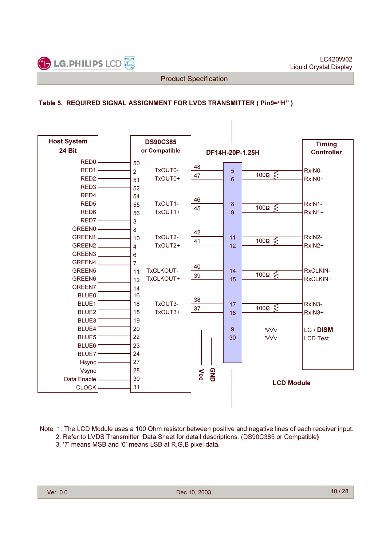

r

#### Table 5. REQUIRED SIGNAL ASSIGNMENT FOR LVDS TRANSMITTER ( Pin9="H" )

| <b>Host System</b> | <b>DS90C385</b>           |                 |                              | <b>Timing</b>      |
|--------------------|---------------------------|-----------------|------------------------------|--------------------|
| 24 Bit             | or Compatible             |                 | DF14H-20P-1.25H              | <b>Controller</b>  |
| RED <sub>0</sub>   | 50                        |                 |                              |                    |
| RED1               | TxOUT0-<br>$\overline{2}$ | 48              | 5                            | RxINO-             |
| RED <sub>2</sub>   | TxOUT0+<br>51             | 47              | 100 $\Omega \lessgtr$<br>6   | RxIN0+             |
| RED <sub>3</sub>   | 52                        |                 |                              |                    |
| RED4               | 54                        |                 |                              |                    |
| RED <sub>5</sub>   | TxOUT1-<br>55             | 46              | 8                            | RxIN1-             |
| RED <sub>6</sub>   | TxOUT1+<br>56             | 45              | $100\Omega \leq$<br>9        | RxIN1+             |
| RED7               | 3                         |                 |                              |                    |
| <b>GREEN0</b>      | 8                         |                 |                              |                    |
| GREEN1             | TxOUT2-<br>10             | 42              | 11                           | RxIN2-             |
| GREEN <sub>2</sub> | TxOUT2+<br>$\overline{4}$ | 41              | 100 $\Omega \leqslant$<br>12 | RxIN2+             |
| GREEN3             | $6\phantom{1}$            |                 |                              |                    |
| GREEN4             | $\overline{7}$            |                 |                              |                    |
| GREEN5             | TxCLKOUT-<br>11           | 40              | 14                           | RxCLKIN-           |
| GREEN6             | TxCLKOUT+<br>12           | 39              | 100 $\Omega \geq$<br>15      | RxCLKIN+           |
| GREEN7             | 14                        |                 |                              |                    |
| <b>BLUE0</b>       | 16                        |                 |                              |                    |
| BLUE1              | 18<br>TxOUT3-             | 38              | 17                           | RxIN3-             |
| BLUE <sub>2</sub>  | 15<br>TxOUT3+             | 37              | $100\Omega \leq$<br>18       | RxIN <sub>3+</sub> |
| BLUE3              | 19                        |                 |                              |                    |
| BLUE4              | 20                        |                 | 9<br><b>MV</b>               | LG / DISM          |
| BLUE5              | 22                        |                 | $\sim$<br>30                 | <b>LCD Test</b>    |
| BLUE6              | 23                        |                 |                              |                    |
| <b>BLUE7</b>       | 24                        |                 |                              |                    |
| Hsync              | 27                        |                 |                              |                    |
| Vsync              | 28                        | $\mathbf{V}$ cc |                              |                    |
| Data Enable        | 30                        | GND             | <b>LCD Module</b>            |                    |
| <b>CLOCK</b>       | 31                        |                 |                              |                    |
|                    |                           |                 |                              |                    |

Note: 1. The LCD Module uses a 100 Ohm resistor between positive and negative lines of each receiver input. 2. Refer to LVDS Transmitter Data Sheet for detail descriptions. (DS90C385 or Compatible)

3. '7' means MSB and '0' means LSB at R,G,B pixel data.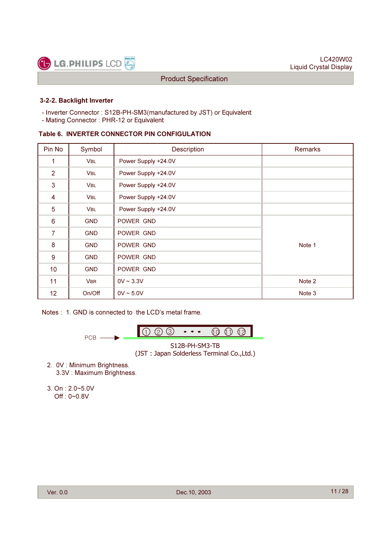

#### 3-2-2. Backlight Inverter

- Inverter Connector : S12B-PH-SM3(manufactured by JST) or Equivalent
- Mating Connector : PHR-12 or Equivalent

#### Table 6. INVERTER CONNECTOR PIN CONFIGULATION

| Pin No          | Symbol     | <b>Description</b>  | Remarks |
|-----------------|------------|---------------------|---------|
| 1               | <b>VBL</b> | Power Supply +24.0V |         |
| $\overline{2}$  | <b>VBL</b> | Power Supply +24.0V |         |
| 3               | <b>VBL</b> | Power Supply +24.0V |         |
| 4               | <b>VBL</b> | Power Supply +24.0V |         |
| 5               | <b>VBL</b> | Power Supply +24.0V |         |
| 6               | <b>GND</b> | POWER GND           |         |
| $\overline{7}$  | <b>GND</b> | POWER GND           |         |
| 8               | <b>GND</b> | POWER GND           | Note 1  |
| 9               | <b>GND</b> | POWER GND           |         |
| 10 <sup>°</sup> | <b>GND</b> | POWER GND           |         |
| 11              | <b>VBR</b> | $0V \sim 3.3V$      | Note 2  |
| 12              | On/Off     | $0V \sim 5.0V$      | Note 3  |

Notes : 1. GND is connected to the LCD's metal frame.



- 2. 0V : Minimum Brightness. 3.3V : Maximum Brightness.
- 3. On : 2.0~5.0V Off : 0~0.8V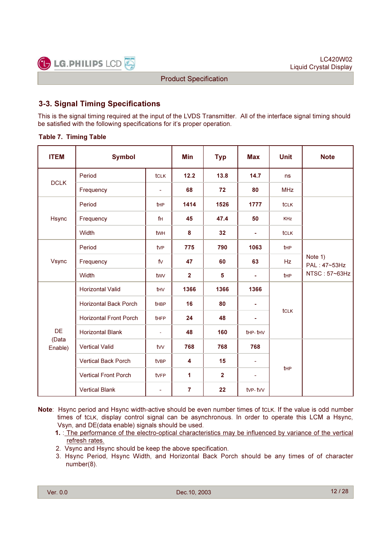

## 3-3. Signal Timing Specifications

This is the signal timing required at the input of the LVDS Transmitter. All of the interface signal timing should be satisfied with the following specifications for it's proper operation.

#### Table 7. Timing Table

| <b>ITEM</b>      | <b>Symbol</b>                 |                          | <b>Min</b>     | <b>Typ</b>     | <b>Max</b>               | <b>Unit</b> | <b>Note</b>             |
|------------------|-------------------------------|--------------------------|----------------|----------------|--------------------------|-------------|-------------------------|
| <b>DCLK</b>      | Period                        | <b>tCLK</b>              | 12.2           | 13.8           | 14.7                     | <b>ns</b>   |                         |
|                  | Frequency                     | $\overline{\phantom{a}}$ | 68             | 72             | 80                       | <b>MHz</b>  |                         |
|                  | Period                        | tHP                      | 1414           | 1526           | 1777                     | <b>tCLK</b> |                         |
| Hsync            | Frequency                     | f <sub>H</sub>           | 45             | 47.4           | 50                       | <b>KHz</b>  |                         |
|                  | Width                         | twh                      | 8              | 32             | ٠                        | tclk        |                         |
|                  | Period                        | tv <sub>P</sub>          | 775            | 790            | 1063                     | tHP         |                         |
| Vsync            | Frequency                     | fV                       | 47             | 60             | 63                       | Hz          | Note 1)<br>PAL: 47~53Hz |
|                  | Width                         | twy                      | $\overline{2}$ | 5              | ÷                        | tHP         | NTSC: 57~63Hz           |
|                  | <b>Horizontal Valid</b>       | t <sub>HV</sub>          | 1366           | 1366           | 1366                     |             |                         |
|                  | <b>Horizontal Back Porch</b>  | <b>t</b> HBP             | 16             | 80             | ۰                        | <b>tCLK</b> |                         |
|                  | <b>Horizontal Front Porch</b> | tHFP                     | 24             | 48             | ٠                        |             |                         |
| <b>DE</b>        | <b>Horizontal Blank</b>       | ä,                       | 48             | 160            | thp-thy                  |             |                         |
| (Data<br>Enable) | <b>Vertical Valid</b>         | tw                       | 768            | 768            | 768                      |             |                         |
|                  | <b>Vertical Back Porch</b>    | tvBP                     | 4              | 15             | $\blacksquare$           |             |                         |
|                  | <b>Vertical Front Porch</b>   | tvFP                     | 1              | $\overline{2}$ | $\overline{\phantom{a}}$ | tHP         |                         |
|                  | <b>Vertical Blank</b>         | ÷                        | $\overline{7}$ | 22             | tvp-tvv                  |             |                         |

Note: Hsync period and Hsync width-active should be even number times of tcLK. If the value is odd number times of tCLK, display control signal can be asynchronous. In order to operate this LCM a Hsync, Vsyn, and DE(data enable) signals should be used.

- 1. : The performance of the electro-optical characteristics may be influenced by variance of the vertical refresh rates.
- 2. Vsync and Hsync should be keep the above specification.
- 3. Hsync Period, Hsync Width, and Horizontal Back Porch should be any times of of character number(8).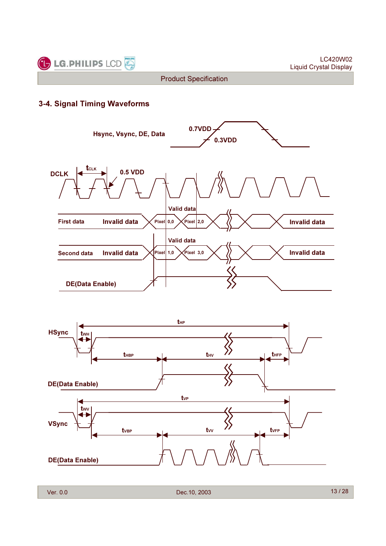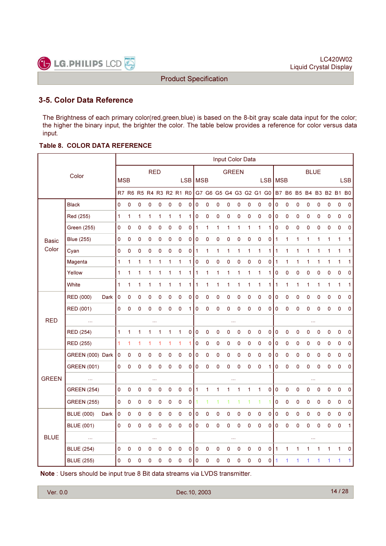

## 3-5. Color Data Reference

The Brightness of each primary color(red,green,blue) is based on the 8-bit gray scale data input for the color; the higher the binary input, the brighter the color. The table below provides a reference for color versus data input.

#### Table 8. COLOR DATA REFERENCE

|              |                    |      |              |                     |   |             |   |              |                         |             |           |                     |           | Input Color Data    |             |              |                         |            |                     |              |             |              |             |              |                         |                |
|--------------|--------------------|------|--------------|---------------------|---|-------------|---|--------------|-------------------------|-------------|-----------|---------------------|-----------|---------------------|-------------|--------------|-------------------------|------------|---------------------|--------------|-------------|--------------|-------------|--------------|-------------------------|----------------|
|              | Color              |      |              |                     |   | <b>RED</b>  |   |              |                         |             |           |                     |           | <b>GREEN</b>        |             |              |                         |            |                     |              |             | <b>BLUE</b>  |             |              |                         |                |
|              |                    |      | <b>MSB</b>   |                     |   |             |   |              |                         |             | LSB   MSB |                     |           |                     |             |              |                         | <b>LSB</b> | <b>MSB</b>          |              |             |              |             |              |                         | <b>LSB</b>     |
|              |                    |      |              |                     |   |             |   |              | R7 R6 R5 R4 R3 R2 R1 R0 |             |           |                     |           |                     |             |              | G7 G6 G5 G4 G3 G2 G1 G0 |            |                     |              |             |              |             |              | B7 B6 B5 B4 B3 B2 B1 B0 |                |
|              | <b>Black</b>       |      | 0            | $\mathsf{O}\xspace$ | 0 | 0           | 0 | $\mathbf 0$  | 0                       | 0           | 0         | $\pmb{0}$           | 0         | 0                   | 0           | $\mathbf 0$  | $\pmb{0}$               | 0          | $\mathsf{O}\xspace$ | $\pmb{0}$    | 0           | 0            | 0           | 0            | $\pmb{0}$               | 0              |
|              | Red (255)          |      | $\mathbf{1}$ | $\mathbf{1}$        | 1 | 1           | 1 | 1            | 1                       | 1           | 0         | 0                   | 0         | 0                   | 0           | 0            | $\pmb{0}$               | 0          | $\mathsf 0$         | 0            | $\mathbf 0$ | 0            | $\mathbf 0$ | 0            | $\mathbf 0$             | 0              |
|              | <b>Green (255)</b> |      | 0            | 0                   | 0 | $\mathbf 0$ | 0 | $\mathbf 0$  | 0                       | $\mathbf 0$ | 1         | 1                   | 1         | $\mathbf{1}$        | 1           | 1            | 1                       | 1          | $\mathbf 0$         | 0            | $\mathbf 0$ | 0            | 0           | 0            | $\mathbf 0$             | $\mathbf 0$    |
| <b>Basic</b> | <b>Blue (255)</b>  |      | 0            | 0                   | 0 | 0           | 0 | $\mathbf 0$  | $\mathsf{O}\xspace$     | 0           | 0         | $\mathsf{O}\xspace$ | 0         | $\mathsf{O}\xspace$ | 0           | $\pmb{0}$    | $\mathsf{O}\xspace$     | 0          | 1                   | 1            | 1           | 1            | 1           | 1            | 1                       | 1              |
| Color        | Cyan               |      | 0            | 0                   | 0 | $\mathbf 0$ | 0 | 0            | 0                       | 0           | 1         | 1                   | 1         | 1                   | 1           | 1            | 1                       | 1          | 1                   | 1            | 1           | 1            | 1           | 1            | 1                       | 1              |
|              | Magenta            |      | 1            | 1                   | 1 | 1           | 1 | 1            | 1                       | 1           | 0         | 0                   | 0         | 0                   | 0           | 0            | $\mathbf 0$             | 0          | $\mathbf{1}$        | $\mathbf{1}$ | 1           | $\mathbf{1}$ | 1           | $\mathbf{1}$ | $\mathbf{1}$            | $\mathbf{1}$   |
|              | Yellow             |      | $\mathbf{1}$ | 1                   | 1 | 1           | 1 | 1            | 1                       | 1           | 1         | 1                   | 1         | 1                   | 1           | 1            | 1                       | 1          | $\mathbf 0$         | 0            | $\mathbf 0$ | 0            | 0           | 0            | 0                       | 0              |
|              | White              |      | 1            | 1                   | 1 | 1           | 1 | 1            | 1                       | 1           | 1         | 1                   | 1         | 1                   | 1           | 1            | $\mathbf{1}$            | 1          | 1                   | 1            | 1           | 1            | 1           | 1            | 1                       | 1              |
|              | RED (000)          | Dark | 0            | 0                   | 0 | $\mathbf 0$ | 0 | 0            | 0                       | 0           | 0         | 0                   | 0         | 0                   | 0           | 0            | $\pmb{0}$               | 0          | $\pmb{0}$           | 0            | 0           | 0            | 0           | 0            | $\mathbf 0$             | 0              |
|              | RED (001)          |      | 0            | 0                   | 0 | $\mathbf 0$ | 0 | 0            | 0                       | 1           | 0         | 0                   | 0         | 0                   | 0           | 0            | $\pmb{0}$               | 0          | $\mathbf 0$         | 0            | $\mathbf 0$ | 0            | 0           | 0            | $\mathbf 0$             | $\mathbf 0$    |
| <b>RED</b>   | $\ddotsc$          |      |              |                     |   |             |   |              |                         |             |           |                     |           |                     |             |              |                         |            |                     |              |             | 44           |             |              |                         |                |
|              | <b>RED (254)</b>   |      | 1            | $\mathbf{1}$        | 1 | 1           | 1 | $\mathbf{1}$ | 1                       | $\pmb{0}$   | 0         | 0                   | $\pmb{0}$ | 0                   | $\mathbf 0$ | 0            | $\mathsf 0$             | 0          | $\mathbf 0$         | 0            | $\mathbf 0$ | 0            | $\pmb{0}$   | $\pmb{0}$    | $\mathbf 0$             | 0              |
|              | <b>RED (255)</b>   |      | $\mathbf{1}$ | 1                   | 1 | 1           | 1 | 1            | 1                       | 1           | 0         | 0                   | 0         | 0                   | 0           | 0            | $\pmb{0}$               | 0          | $\mathsf 0$         | 0            | 0           | 0            | 0           | 0            | $\mathbf 0$             | 0              |
|              | GREEN (000) Dark   |      | $\mathbf 0$  | 0                   | 0 | 0           | 0 | 0            | 0                       | 0           | 0         | 0                   | 0         | 0                   | 0           | 0            | $\pmb{0}$               | 0          | $\mathsf 0$         | 0            | 0           | 0            | 0           | 0            | $\mathbf 0$             | 0              |
|              | <b>GREEN (001)</b> |      | 0            | 0                   | 0 | $\mathbf 0$ | 0 | $\mathbf 0$  | 0                       | 0           | 0         | 0                   | 0         | 0                   | 0           | 0            | $\mathbf 0$             | 1          | 0                   | 0            | $\mathbf 0$ | 0            | $\mathbf 0$ | 0            | $\mathbf 0$             | $\mathbf 0$    |
| <b>GREEN</b> | $\ldots$           |      |              |                     |   | $\cdots$    |   |              |                         |             |           |                     |           |                     |             |              |                         |            |                     |              |             | $\cdots$     |             |              |                         |                |
|              | <b>GREEN (254)</b> |      | 0            | 0                   | 0 | 0           | 0 | 0            | 0                       | 0           | 1         | 1                   | 1         | 1                   | 1           | $\mathbf{1}$ | $\mathbf{1}$            | 0          | $\mathsf 0$         | 0            | $\mathbf 0$ | 0            | 0           | 0            | 0                       | 0              |
|              | <b>GREEN (255)</b> |      | 0            | 0                   | 0 | 0           | 0 | 0            | 0                       | 0           |           | $\mathbf{1}$        | 1         | 1                   | 1           | 1            | 1                       | 1          | $\mathsf 0$         | 0            | 0           | 0            | 0           | 0            | $\pmb{0}$               | $\mathbf 0$    |
|              | <b>BLUE (000)</b>  | Dark | 0            | 0                   | 0 | 0           | 0 | 0            | 0                       | 0           | 0         | 0                   | 0         | 0                   | 0           | 0            | 0                       | 0          | $\mathsf 0$         | 0            | 0           | 0            | 0           | 0            | 0                       | 0              |
|              | <b>BLUE (001)</b>  |      | 0            | 0                   | 0 | $\mathbf 0$ | 0 | 0            | 0                       | $\mathbf 0$ | 0         | 0                   | 0         | 0                   | 0           | 0            | $\mathbf 0$             | 0          | $\mathbf 0$         | 0            | $\mathbf 0$ | 0            | 0           | 0            | $\mathbf 0$             | $\overline{1}$ |
| <b>BLUE</b>  | $\ldots$           |      |              |                     |   |             |   |              |                         |             |           |                     |           |                     |             |              |                         |            |                     |              |             |              |             |              |                         |                |
|              | <b>BLUE (254)</b>  |      | 0            | 0                   | 0 | 0           | 0 | 0            | 0                       | 0           | 0         | 0                   | 0         | 0                   | 0           | 0            | $\pmb{0}$               | 0          | $\mathbf{1}$        | 1            | 1           | 1            | 1           | 1            | 1                       | 0              |
|              | <b>BLUE (255)</b>  |      | 0            | 0                   | 0 | 0           | 0 | 0            | 0                       | 0           | 0         | 0                   | 0         | 0                   | 0           | 0            | $\mathbf 0$             | 0          |                     |              |             | 1            | 1           |              | 1                       | 1              |

Note : Users should be input true 8 Bit data streams via LVDS transmitter.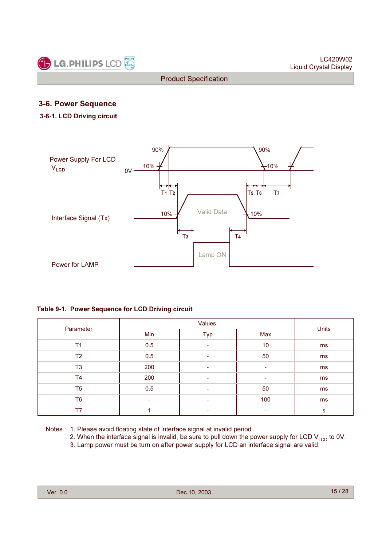

## 3-6. Power Sequence

#### 3-6-1. LCD Driving circuit



#### Table 9-1. Power Sequence for LCD Driving circuit

| Parameter      | Min | Typ | Max | Units |
|----------------|-----|-----|-----|-------|
| T <sub>1</sub> | 0.5 | ۰   | 10  | ms    |
| T <sub>2</sub> | 0.5 | -   | 50  | ms    |
| T <sub>3</sub> | 200 |     |     | ms    |
| T <sub>4</sub> | 200 |     | -   | ms    |
| T <sub>5</sub> | 0.5 | ۰   | 50  | ms    |
| T <sub>6</sub> | ۰   |     | 100 | ms    |
| T7             |     |     |     | s     |

Notes : 1. Please avoid floating state of interface signal at invalid period.

- 2. When the interface signal is invalid, be sure to pull down the power supply for LCD  $V_{\text{LCD}}$  to 0V.
- 3. Lamp power must be turn on after power supply for LCD an interface signal are valid.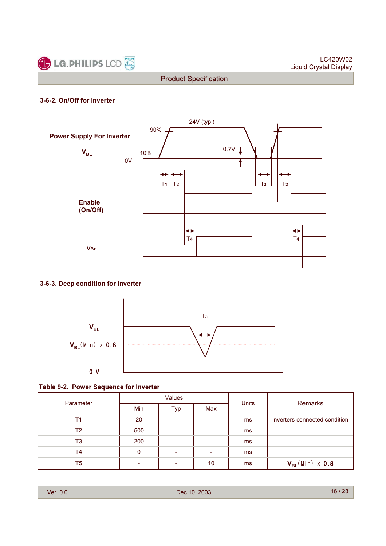

#### 3-6-2. On/Off for Inverter



#### 3-6-3. Deep condition for Inverter



#### Table 9-2. Power Sequence for Inverter

| Parameter |            | <b>Values</b> |                          | Units |                               |
|-----------|------------|---------------|--------------------------|-------|-------------------------------|
|           | <b>Min</b> | Typ           | Max                      |       | Remarks                       |
| Τ1        | 20         | ۰             |                          | ms    | inverters connected condition |
| T2        | 500        | ۰             |                          | ms    |                               |
| T3        | 200        | ۰             | $\overline{\phantom{0}}$ | ms    |                               |
| Τ4        | 0          |               |                          | ms    |                               |
| T5        | ۰          | ۰             | 10                       | ms    | $V_{BL}(Min) \times 0.8$      |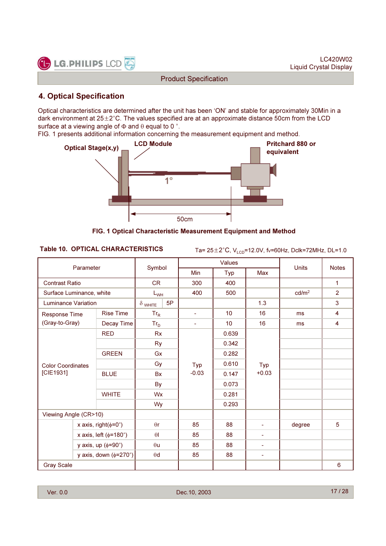

## 4. Optical Specification

Optical characteristics are determined after the unit has been 'ON' and stable for approximately 30Min in a dark environment at  $25 \pm 2^{\circ}$ C. The values specified are at an approximate distance 50cm from the LCD surface at a viewing angle of  $\Phi$  and  $\theta$  equal to 0 °.

FIG. 1 presents additional information concerning the measurement equipment and method.



FIG. 1 Optical Characteristic Measurement Equipment and Method

Table 10. OPTICAL CHARACTERISTICS  $T_{\text{a}= 25 \pm 2^{\circ} \text{C}, V_{\text{LCD}}=12.0 \text{V}, \text{fv}=60 \text{Hz}, \text{Dclk}=72 \text{MHz}, \text{DL}=1.0$ 

|                                       |                                 |                  |                |    |                | Values |                |                   |                |
|---------------------------------------|---------------------------------|------------------|----------------|----|----------------|--------|----------------|-------------------|----------------|
|                                       | Parameter                       |                  | Symbol         |    | Min            | Typ    | Max            | <b>Units</b>      | <b>Notes</b>   |
| <b>Contrast Ratio</b>                 |                                 |                  | <b>CR</b>      |    | 300            | 400    |                |                   | $\mathbf{1}$   |
| Surface Luminance, white              |                                 |                  | $L_{WH}$       |    | 400            | 500    |                | cd/m <sup>2</sup> | $\overline{2}$ |
| <b>Luminance Variation</b>            |                                 |                  | $\delta$ white | 5P |                |        | 1.3            |                   | 3              |
| Response Time                         |                                 | <b>Rise Time</b> | $Tr_R$         |    | $\blacksquare$ | 10     | 16             | ms                | 4              |
| (Gray-to-Gray)                        |                                 | Decay Time       | $Tr_D$         |    | $\blacksquare$ | 10     | 16             | ms                | 4              |
|                                       | <b>RED</b>                      |                  | <b>Rx</b>      |    |                | 0.639  |                |                   |                |
|                                       |                                 | <b>Ry</b>        |                |    | 0.342          |        |                |                   |                |
| <b>Color Coordinates</b><br>[CIE1931] |                                 | <b>GREEN</b>     | Gx             |    |                | 0.282  |                |                   |                |
|                                       |                                 |                  | Gy             |    | Typ            | 0.610  | Typ            |                   |                |
|                                       |                                 | <b>BLUE</b>      | <b>Bx</b>      |    | $-0.03$        | 0.147  | $+0.03$        |                   |                |
|                                       |                                 |                  | <b>By</b>      |    |                | 0.073  |                |                   |                |
|                                       |                                 | <b>WHITE</b>     | Wx             |    |                | 0.281  |                |                   |                |
|                                       |                                 |                  | Wy             |    |                | 0.293  |                |                   |                |
| Viewing Angle (CR>10)                 |                                 |                  |                |    |                |        |                |                   |                |
|                                       | x axis, right( $\phi$ =0°)      |                  | $\theta$ r     |    | 85             | 88     | $\blacksquare$ | degree            | 5              |
|                                       | x axis, left $(\phi=180^\circ)$ |                  | $\theta$       |    | 85             | 88     | $\blacksquare$ |                   |                |
|                                       | y axis, up $(\phi = 90^\circ)$  |                  | $\theta$ u     |    | 85             | 88     | $\blacksquare$ |                   |                |
|                                       | y axis, down $(\phi=270^\circ)$ |                  | $\theta$ d     |    | 85             | 88     | $\equiv$       |                   |                |
| <b>Gray Scale</b>                     |                                 |                  |                |    |                |        |                |                   | 6              |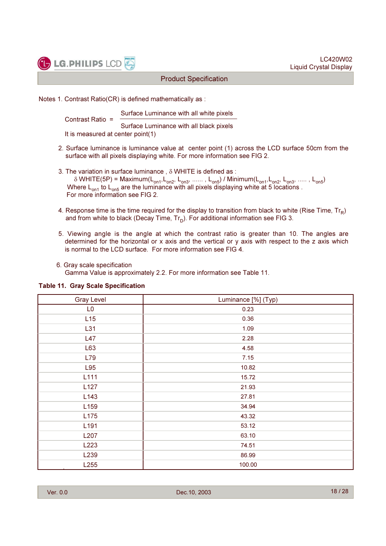



Notes 1. Contrast Ratio(CR) is defined mathematically as :

Surface Luminance with all white pixels

Contrast Ratio = Surface Luminance with all black pixels It is measured at center point(1)

- 2. Surface luminance is luminance value at center point (1) across the LCD surface 50cm from the surface with all pixels displaying white. For more information see FIG 2.
- 3. The variation in surface luminance , δ WHITE is defined as :  $δ$  WHITE(5P) = Maximum(L<sub>on1</sub>, L<sub>on2</sub>, L<sub>on3</sub>, ......, L<sub>on5</sub>) / Minimum(L<sub>on1</sub>, L<sub>on2</sub>, L<sub>on3</sub>, ....., L<sub>on5</sub>) Where  $L_{on1}$  to  $L_{on5}$  are the luminance with all pixels displaying white at 5 locations . For more information see FIG 2.
- 4. Response time is the time required for the display to transition from black to white (Rise Time,  $Tr_R$ ) and from white to black (Decay Time,  $Tr_D$ ). For additional information see FIG 3.
- 5. Viewing angle is the angle at which the contrast ratio is greater than 10. The angles are determined for the horizontal or x axis and the vertical or y axis with respect to the z axis which is normal to the LCD surface. For more information see FIG 4.
- 6. Gray scale specification

Gamma Value is approximately 2.2. For more information see Table 11.

| <b>Gray Level</b> | Luminance [%] (Typ) |
|-------------------|---------------------|
| L <sub>0</sub>    | 0.23                |
| L15               | 0.36                |
| L31               | 1.09                |
| L47               | 2.28                |
| L63               | 4.58                |
| L79               | 7.15                |
| L95               | 10.82               |
| L111              | 15.72               |
| L127              | 21.93               |
| L143              | 27.81               |
| L159              | 34.94               |
| L175              | 43.32               |
| L <sub>191</sub>  | 53.12               |
| L207              | 63.10               |
| L223              | 74.51               |
| L239              | 86.99               |
| L255              | 100.00              |

#### Table 11. Gray Scale Specification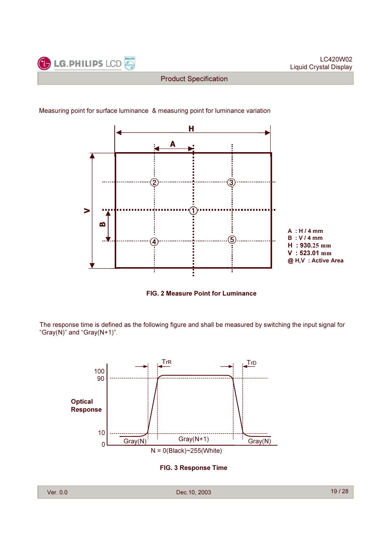

#### Measuring point for surface luminance & measuring point for luminance variation





The response time is defined as the following figure and shall be measured by switching the input signal for "Gray(N)" and "Gray( $N+1$ )".



FIG. 3 Response Time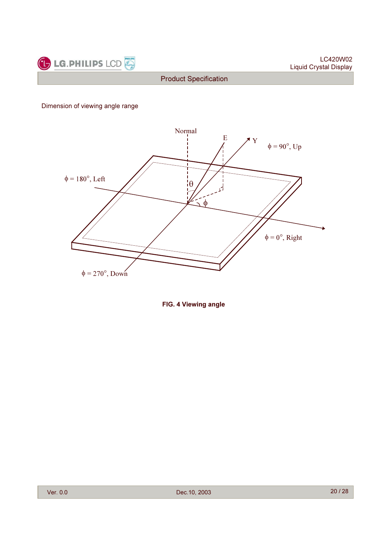

Dimension of viewing angle range



FIG. 4 Viewing angle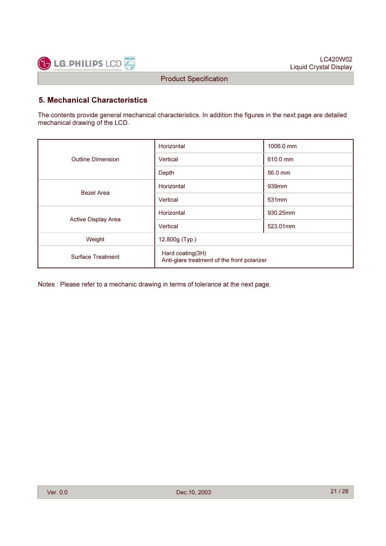

## 5. Mechanical Characteristics

The contents provide general mechanical characteristics. In addition the figures in the next page are detailed mechanical drawing of the LCD.

|                            | Horizontal                                                      | 1006.0 mm         |  |  |  |  |
|----------------------------|-----------------------------------------------------------------|-------------------|--|--|--|--|
| <b>Outline Dimension</b>   | Vertical                                                        | 610.0 mm          |  |  |  |  |
|                            | Depth                                                           | 56.0 mm           |  |  |  |  |
| <b>Bezel Area</b>          | Horizontal                                                      | 939mm             |  |  |  |  |
|                            | Vertical                                                        | 531 <sub>mm</sub> |  |  |  |  |
|                            | Horizontal                                                      | 930.25mm          |  |  |  |  |
| <b>Active Display Area</b> | Vertical                                                        | 523.01mm          |  |  |  |  |
| Weight                     | 12,800g (Typ.)                                                  |                   |  |  |  |  |
| <b>Surface Treatment</b>   | Hard coating(3H)<br>Anti-glare treatment of the front polarizer |                   |  |  |  |  |

Notes : Please refer to a mechanic drawing in terms of tolerance at the next page.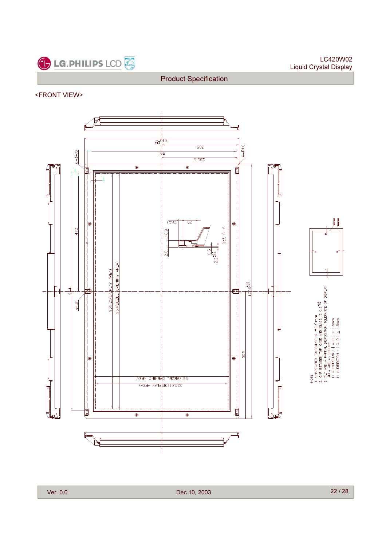

<FRONT VIEW>



Ver. 0.0 Dec.10, 2003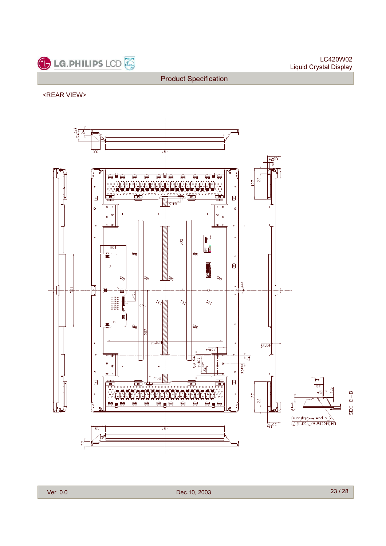

<REAR VIEW>



Product Specification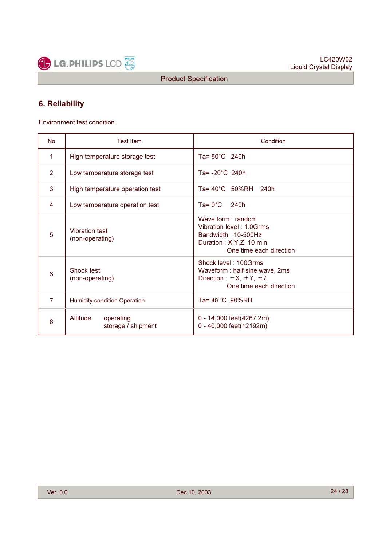

## 6. Reliability

Environment test condition

| <b>No</b>      | <b>Test Item</b>                            | Condition                                                                                                                       |  |  |  |  |  |  |
|----------------|---------------------------------------------|---------------------------------------------------------------------------------------------------------------------------------|--|--|--|--|--|--|
| 1              | High temperature storage test               | Ta= $50^{\circ}$ C 240h                                                                                                         |  |  |  |  |  |  |
| $\overline{2}$ | Low temperature storage test                | Ta= -20°C 240h                                                                                                                  |  |  |  |  |  |  |
| 3              | High temperature operation test             | $Ta = 40^{\circ}C$ 50%RH 240h                                                                                                   |  |  |  |  |  |  |
| 4              | Low temperature operation test              | $Ta = 0^{\circ}C$<br>240h                                                                                                       |  |  |  |  |  |  |
| 5              | Vibration test<br>(non-operating)           | Wave form $:$ random<br>Vibration level: 1.0Grms<br>Bandwidth: 10-500Hz<br>Duration: X, Y, Z, 10 min<br>One time each direction |  |  |  |  |  |  |
| 6              | Shock test<br>(non-operating)               | Shock level: 100Grms<br>Waveform : half sine wave, 2ms<br>Direction : $\pm X$ , $\pm Y$ , $\pm Z$<br>One time each direction    |  |  |  |  |  |  |
| $\overline{7}$ | <b>Humidity condition Operation</b>         | Ta= 40 °C, 90%RH                                                                                                                |  |  |  |  |  |  |
| 8              | Altitude<br>operating<br>storage / shipment | 0 - 14,000 feet(4267.2m)<br>0 - 40,000 feet(12192m)                                                                             |  |  |  |  |  |  |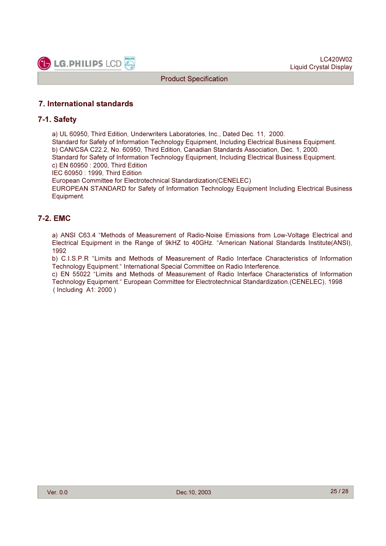

## 7. International standards

#### 7-1. Safety

a) UL 60950, Third Edition, Underwriters Laboratories, Inc., Dated Dec. 11, 2000.

Standard for Safety of Information Technology Equipment, Including Electrical Business Equipment. b) CAN/CSA C22.2, No. 60950, Third Edition, Canadian Standards Association, Dec. 1, 2000. Standard for Safety of Information Technology Equipment, Including Electrical Business Equipment.

c) EN 60950 : 2000, Third Edition

IEC 60950 : 1999, Third Edition

European Committee for Electrotechnical Standardization(CENELEC)

EUROPEAN STANDARD for Safety of Information Technology Equipment Including Electrical Business Equipment.

### 7-2. EMC

a) ANSI C63.4 "Methods of Measurement of Radio-Noise Emissions from Low-Voltage Electrical and Electrical Equipment in the Range of 9kHZ to 40GHz. "American National Standards Institute(ANSI), 1992

b) C.I.S.P.R "Limits and Methods of Measurement of Radio Interface Characteristics of Information Technology Equipment." International Special Committee on Radio Interference.

c) EN 55022 "Limits and Methods of Measurement of Radio Interface Characteristics of Information Technology Equipment." European Committee for Electrotechnical Standardization.(CENELEC), 1998 ( Including A1: 2000 )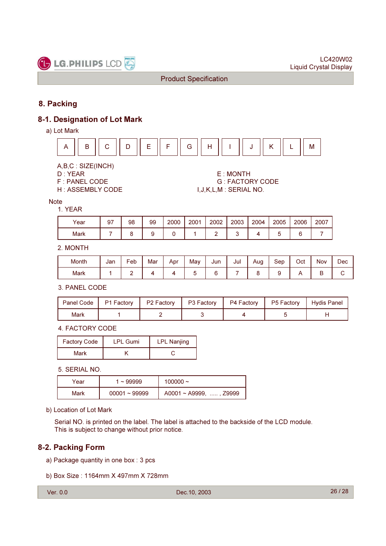

## 8. Packing

## 8-1. Designation of Lot Mark

a) Lot Mark



A,B,C : SIZE(INCH)

D : YEAR E : MONTH **G: FACTORY CODE** H : ASSEMBLY CODE  $I, J, K, L, M$  : SERIAL NO.

Note 1. YEAR

| Year | 97 | 98 | 99 | 2000 | 2001 | 2002 | 2003 | 2004 | 2005 | 2006   | 2007 |
|------|----|----|----|------|------|------|------|------|------|--------|------|
| Mark |    |    |    |      |      |      |      |      | ◡    | ⌒<br>◡ |      |

2. MONTH

| . .<br>Month | Jan | $\overline{\phantom{0}}$<br>⊦eb | . .<br>Mar | Apr | . .<br>Mav | Jun | Jul | Aug<br>c | Sep | Oct | <b>Nov</b> | Dec |
|--------------|-----|---------------------------------|------------|-----|------------|-----|-----|----------|-----|-----|------------|-----|
| Mark         |     | -                               |            |     |            |     |     |          |     |     | г<br>∽     |     |

3. PANEL CODE

| Panel Code | P1 Factory | P <sub>2</sub> Factory | P3 Factory | P4 Factory | P5 Factory | Hydis Panel |
|------------|------------|------------------------|------------|------------|------------|-------------|
| Mark       |            |                        |            |            |            |             |

4. FACTORY CODE

| <b>Factory Code</b> | <b>LPL Gumi</b> | <b>LPL Nanjing</b> |
|---------------------|-----------------|--------------------|
| Mark                |                 |                    |

5. SERIAL NO.

| Year | $~\sim$ 99999   | 100000 $\sim$                     |
|------|-----------------|-----------------------------------|
| Mark | $00001 - 99999$ | $A0001 \sim A9999, \ldots, Z9999$ |

b) Location of Lot Mark

Serial NO. is printed on the label. The label is attached to the backside of the LCD module. This is subject to change without prior notice.

## 8-2. Packing Form

- a) Package quantity in one box : 3 pcs
- b) Box Size : 1164mm X 497mm X 728mm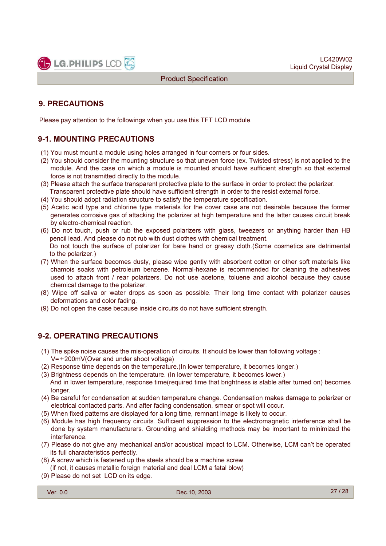

## 9. PRECAUTIONS

Please pay attention to the followings when you use this TFT LCD module.

## 9-1. MOUNTING PRECAUTIONS

- (1) You must mount a module using holes arranged in four corners or four sides.
- (2) You should consider the mounting structure so that uneven force (ex. Twisted stress) is not applied to the module. And the case on which a module is mounted should have sufficient strength so that external force is not transmitted directly to the module.
- (3) Please attach the surface transparent protective plate to the surface in order to protect the polarizer. Transparent protective plate should have sufficient strength in order to the resist external force.
- (4) You should adopt radiation structure to satisfy the temperature specification.
- (5) Acetic acid type and chlorine type materials for the cover case are not desirable because the former generates corrosive gas of attacking the polarizer at high temperature and the latter causes circuit break by electro-chemical reaction.
- (6) Do not touch, push or rub the exposed polarizers with glass, tweezers or anything harder than HB pencil lead. And please do not rub with dust clothes with chemical treatment. Do not touch the surface of polarizer for bare hand or greasy cloth.(Some cosmetics are detrimental to the polarizer.)
- (7) When the surface becomes dusty, please wipe gently with absorbent cotton or other soft materials like chamois soaks with petroleum benzene. Normal-hexane is recommended for cleaning the adhesives used to attach front / rear polarizers. Do not use acetone, toluene and alcohol because they cause chemical damage to the polarizer.
- (8) Wipe off saliva or water drops as soon as possible. Their long time contact with polarizer causes deformations and color fading.
- (9) Do not open the case because inside circuits do not have sufficient strength.

## 9-2. OPERATING PRECAUTIONS

- (1) The spike noise causes the mis-operation of circuits. It should be lower than following voltage :
- $V=\pm 200$ mV(Over and under shoot voltage)
- (2) Response time depends on the temperature.(In lower temperature, it becomes longer.)
- (3) Brightness depends on the temperature. (In lower temperature, it becomes lower.)
- And in lower temperature, response time(required time that brightness is stable after turned on) becomes longer.
- (4) Be careful for condensation at sudden temperature change. Condensation makes damage to polarizer or electrical contacted parts. And after fading condensation, smear or spot will occur.
- (5) When fixed patterns are displayed for a long time, remnant image is likely to occur.
- (6) Module has high frequency circuits. Sufficient suppression to the electromagnetic interference shall be done by system manufacturers. Grounding and shielding methods may be important to minimized the interference.
- (7) Please do not give any mechanical and/or acoustical impact to LCM. Otherwise, LCM can't be operated its full characteristics perfectly.
- (8) A screw which is fastened up the steels should be a machine screw. (if not, it causes metallic foreign material and deal LCM a fatal blow)
- (9) Please do not set LCD on its edge.